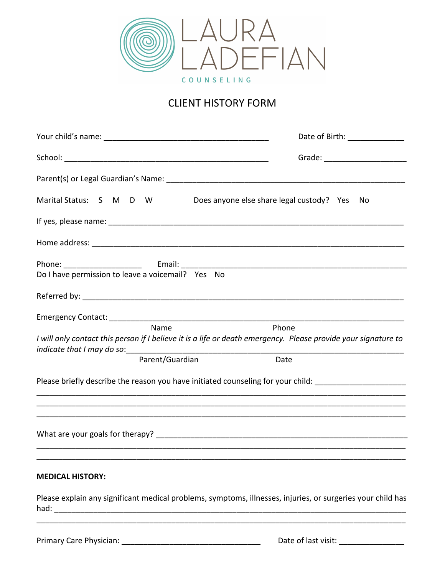

## **CLIENT HISTORY FORM**

|                                                   | Date of Birth: _____________                                                                                            |
|---------------------------------------------------|-------------------------------------------------------------------------------------------------------------------------|
|                                                   | Grade: _______________________                                                                                          |
|                                                   |                                                                                                                         |
| Marital Status: S M D W                           | Does anyone else share legal custody? Yes No                                                                            |
|                                                   |                                                                                                                         |
|                                                   |                                                                                                                         |
| Do I have permission to leave a voicemail? Yes No |                                                                                                                         |
|                                                   |                                                                                                                         |
| Name                                              | Phone<br>I will only contact this person if I believe it is a life or death emergency. Please provide your signature to |
| Parent/Guardian                                   | Date                                                                                                                    |
|                                                   | Please briefly describe the reason you have initiated counseling for your child: ___________________                    |
|                                                   |                                                                                                                         |
| <b>MEDICAL HISTORY:</b>                           |                                                                                                                         |
|                                                   | Please explain any significant medical problems, symptoms, illnesses, injuries, or surgeries your child has             |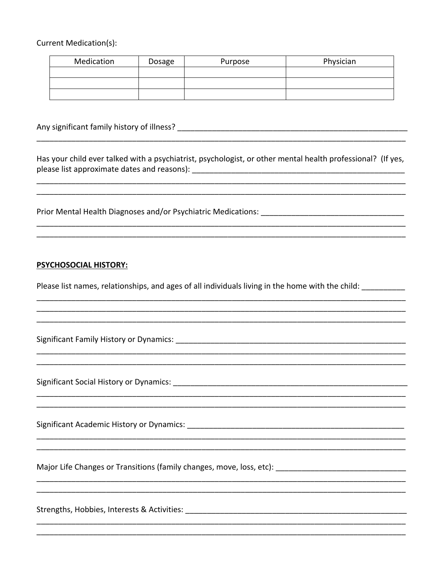**Current Medication(s):** 

| Medication | Dosage | Purpose | Physician |
|------------|--------|---------|-----------|
|            |        |         |           |
|            |        |         |           |
|            |        |         |           |

Has your child ever talked with a psychiatrist, psychologist, or other mental health professional? (If yes, 

Prior Mental Health Diagnoses and/or Psychiatric Medications:

## **PSYCHOSOCIAL HISTORY:**

Please list names, relationships, and ages of all individuals living in the home with the child:

Significant Family History or Dynamics: 2008. 2009. [2010] All The Manuscript Contract Contract Contract Contr

Significant Social History or Dynamics: Manual Alexander Annual Alexander Alexander Alexander Alexander Alexander Alexander Alexander Alexander Alexander Alexander Alexander Alexander Alexander Alexander Alexander Alexande

Major Life Changes or Transitions (family changes, move, loss, etc): [14] Major Life Changes or Transitions (family changes, move, loss, etc): [14] Major Life Changes or Transitions (family changes, move, loss, etc)